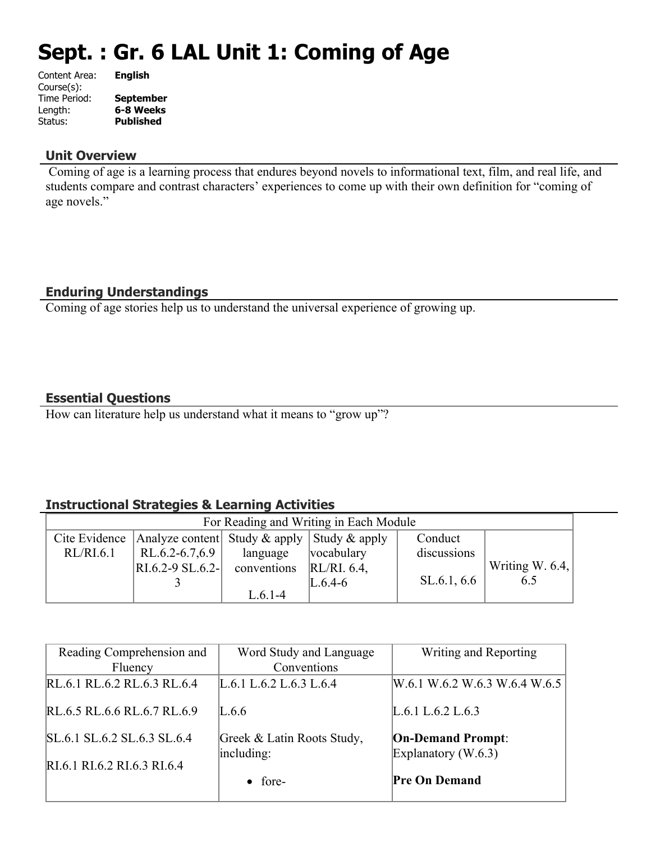# **Sept. : Gr. 6 LAL Unit 1: Coming of Age**

| Content Area: | <b>English</b>   |
|---------------|------------------|
| Course(s):    |                  |
| Time Period:  | <b>September</b> |
| Length:       | 6-8 Weeks        |
| Status:       | <b>Published</b> |
|               |                  |

## **Unit Overview**

 Coming of age is a learning process that endures beyond novels to informational text, film, and real life, and students compare and contrast characters' experiences to come up with their own definition for "coming of age novels."

# **Enduring Understandings**

Coming of age stories help us to understand the universal experience of growing up.

# **Essential Questions**

How can literature help us understand what it means to "grow up"?

# **Instructional Strategies & Learning Activities**

| For Reading and Writing in Each Module |                                                                 |                          |             |             |                 |
|----------------------------------------|-----------------------------------------------------------------|--------------------------|-------------|-------------|-----------------|
|                                        | Cite Evidence   Analyze content   Study & apply   Study & apply |                          |             | Conduct     |                 |
| RL/RI.6.1                              | RL.6.2-6.7,6.9                                                  | language                 | vocabulary  | discussions |                 |
|                                        | $RI.6.2 - 9 SL.6.2 -$                                           | conventions $RL/RL$ 6.4, |             |             | Writing W. 6.4, |
|                                        |                                                                 |                          | $L.6.4 - 6$ | SL.6.1, 6.6 | 6.5             |
|                                        |                                                                 | L.6.1-4                  |             |             |                 |

| Reading Comprehension and<br>Fluency | Word Study and Language<br>Conventions   | Writing and Reporting                             |
|--------------------------------------|------------------------------------------|---------------------------------------------------|
| RL.6.1 RL.6.2 RL.6.3 RL.6.4          | L.6.1 L.6.2 L.6.3 L.6.4                  | W.6.1 W.6.2 W.6.3 W.6.4 W.6.5                     |
| RL.6.5 RL.6.6 RL.6.7 RL.6.9          | L.6.6                                    | L.6.1 L.6.2 L.6.3                                 |
| SL.6.1 SL.6.2 SL.6.3 SL.6.4          | Greek & Latin Roots Study,<br>including: | <b>On-Demand Prompt:</b><br>Explanatory $(W.6.3)$ |
| RI.6.1 RI.6.2 RI.6.3 RI.6.4          | $\bullet$ fore-                          | <b>Pre On Demand</b>                              |
|                                      |                                          |                                                   |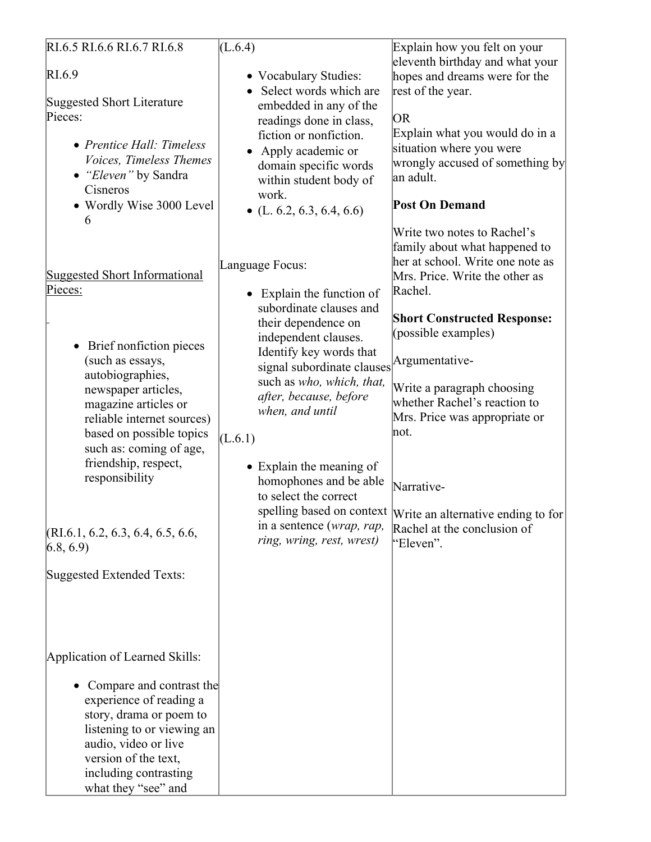| RI.6.5 RI.6.6 RI.6.7 RI.6.8                                                                                                                                                                                                                                                                                                                                                             | (L.6.4)                                                                                                                                                                                                                                                                                                                                                                                                                      | Explain how you felt on your                                                                                                                                                                                                                                                                                                                                                                                                                |
|-----------------------------------------------------------------------------------------------------------------------------------------------------------------------------------------------------------------------------------------------------------------------------------------------------------------------------------------------------------------------------------------|------------------------------------------------------------------------------------------------------------------------------------------------------------------------------------------------------------------------------------------------------------------------------------------------------------------------------------------------------------------------------------------------------------------------------|---------------------------------------------------------------------------------------------------------------------------------------------------------------------------------------------------------------------------------------------------------------------------------------------------------------------------------------------------------------------------------------------------------------------------------------------|
| RI.6.9<br><b>Suggested Short Literature</b><br>Pieces:<br>• Prentice Hall: Timeless<br>Voices, Timeless Themes<br>• "Eleven" by Sandra<br>Cisneros<br>• Wordly Wise 3000 Level                                                                                                                                                                                                          | • Vocabulary Studies:<br>Select words which are<br>embedded in any of the<br>readings done in class,<br>fiction or nonfiction.<br>• Apply academic or<br>domain specific words<br>within student body of<br>work.<br>• $(L. 6.2, 6.3, 6.4, 6.6)$                                                                                                                                                                             | eleventh birthday and what your<br>hopes and dreams were for the<br>rest of the year.<br>OR.<br>Explain what you would do in a<br>situation where you were<br>wrongly accused of something by<br> an adult.<br><b>Post On Demand</b>                                                                                                                                                                                                        |
| 6<br><b>Suggested Short Informational</b><br>Pieces:<br>• Brief nonfiction pieces<br>(such as essays,<br>autobiographies,<br>newspaper articles,<br>magazine articles or<br>reliable internet sources)<br>based on possible topics<br>such as: coming of age,<br>friendship, respect,<br>responsibility<br>(RI.6.1, 6.2, 6.3, 6.4, 6.5, 6.6,<br>(6.8, 6.9)<br>Suggested Extended Texts: | Language Focus:<br>• Explain the function of<br>subordinate clauses and<br>their dependence on<br>independent clauses.<br>Identify key words that<br>signal subordinate clauses Argumentative-<br>such as who, which, that,<br>after, because, before<br>when, and until<br>(L.6.1)<br>• Explain the meaning of<br>homophones and be able<br>to select the correct<br>in a sentence (wrap, rap,<br>ring, wring, rest, wrest) | Write two notes to Rachel's<br>family about what happened to<br>her at school. Write one note as<br>Mrs. Price. Write the other as<br>Rachel.<br><b>Short Constructed Response:</b><br>(possible examples)<br>Write a paragraph choosing<br>whether Rachel's reaction to<br>Mrs. Price was appropriate or<br>not.<br>Narrative-<br>spelling based on context Write an alternative ending to for<br>Rachel at the conclusion of<br>"Eleven". |
| Application of Learned Skills:<br>Compare and contrast the<br>experience of reading a<br>story, drama or poem to<br>listening to or viewing an<br>audio, video or live<br>version of the text,<br>including contrasting<br>what they "see" and                                                                                                                                          |                                                                                                                                                                                                                                                                                                                                                                                                                              |                                                                                                                                                                                                                                                                                                                                                                                                                                             |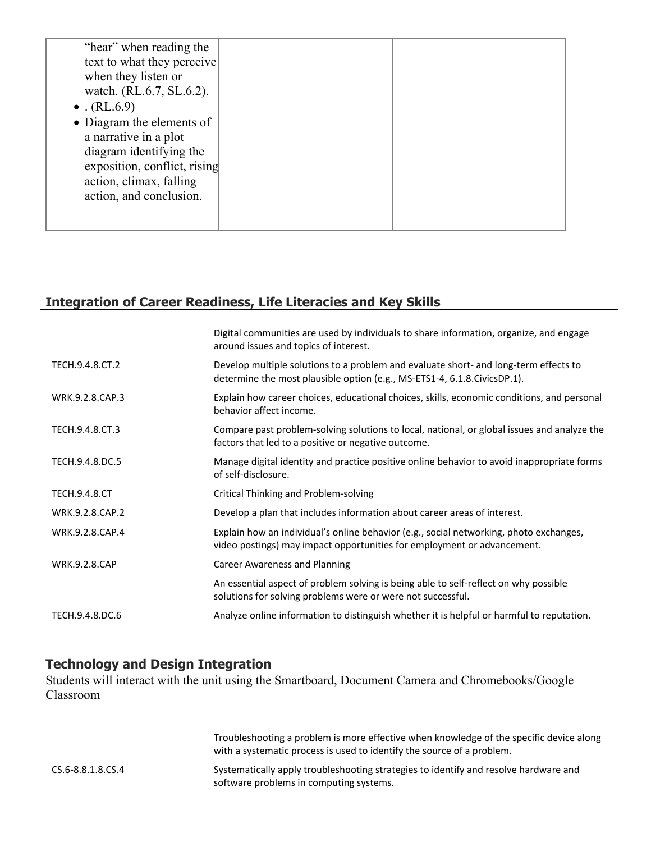| "hear" when reading the      |  |
|------------------------------|--|
|                              |  |
| text to what they perceive   |  |
| when they listen or          |  |
| watch. (RL.6.7, SL.6.2).     |  |
| • $(RL.6.9)$                 |  |
| • Diagram the elements of    |  |
| a narrative in a plot        |  |
| diagram identifying the      |  |
| exposition, conflict, rising |  |
| action, climax, falling      |  |
| action, and conclusion.      |  |
|                              |  |
|                              |  |
|                              |  |

# **Integration of Career Readiness, Life Literacies and Key Skills**

| Digital communities are used by individuals to share information, organize, and engage<br>around issues and topics of interest.                                   |
|-------------------------------------------------------------------------------------------------------------------------------------------------------------------|
| Develop multiple solutions to a problem and evaluate short- and long-term effects to<br>determine the most plausible option (e.g., MS-ETS1-4, 6.1.8.CivicsDP.1).  |
| Explain how career choices, educational choices, skills, economic conditions, and personal<br>behavior affect income.                                             |
| Compare past problem-solving solutions to local, national, or global issues and analyze the<br>factors that led to a positive or negative outcome.                |
| Manage digital identity and practice positive online behavior to avoid inappropriate forms<br>of self-disclosure.                                                 |
| Critical Thinking and Problem-solving                                                                                                                             |
| Develop a plan that includes information about career areas of interest.                                                                                          |
| Explain how an individual's online behavior (e.g., social networking, photo exchanges,<br>video postings) may impact opportunities for employment or advancement. |
| <b>Career Awareness and Planning</b>                                                                                                                              |
| An essential aspect of problem solving is being able to self-reflect on why possible<br>solutions for solving problems were or were not successful.               |
| Analyze online information to distinguish whether it is helpful or harmful to reputation.                                                                         |
|                                                                                                                                                                   |

# **Technology and Design Integration**

Students will interact with the unit using the Smartboard, Document Camera and Chromebooks/Google Classroom

|                   | Troubleshooting a problem is more effective when knowledge of the specific device along<br>with a systematic process is used to identify the source of a problem. |
|-------------------|-------------------------------------------------------------------------------------------------------------------------------------------------------------------|
| CS.6-8.8.1.8.CS.4 | Systematically apply troubleshooting strategies to identify and resolve hardware and<br>software problems in computing systems.                                   |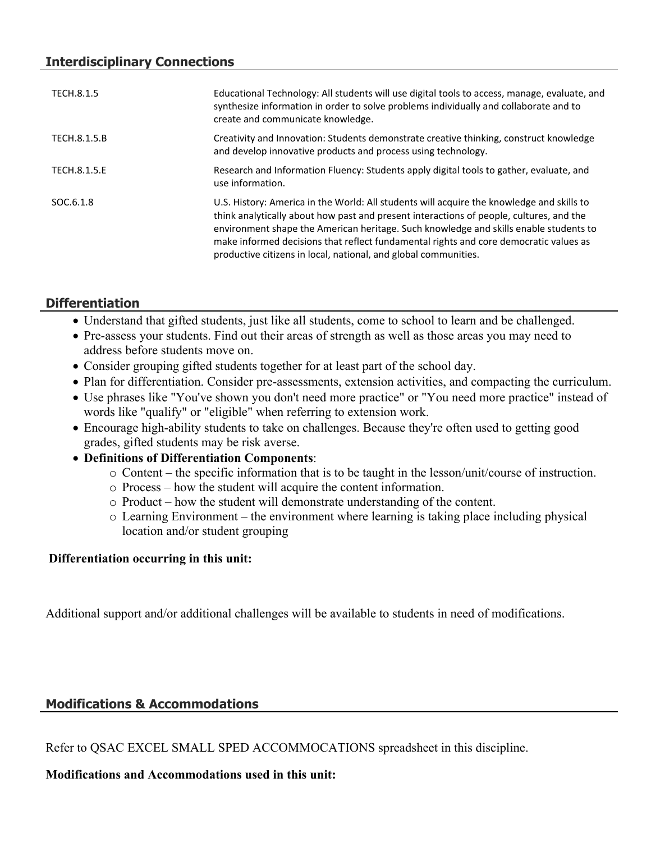| TECH.8.1.5   | Educational Technology: All students will use digital tools to access, manage, evaluate, and<br>synthesize information in order to solve problems individually and collaborate and to<br>create and communicate knowledge.                                                                                                                                                                                                                |
|--------------|-------------------------------------------------------------------------------------------------------------------------------------------------------------------------------------------------------------------------------------------------------------------------------------------------------------------------------------------------------------------------------------------------------------------------------------------|
| TECH.8.1.5.B | Creativity and Innovation: Students demonstrate creative thinking, construct knowledge<br>and develop innovative products and process using technology.                                                                                                                                                                                                                                                                                   |
| TECH.8.1.5.E | Research and Information Fluency: Students apply digital tools to gather, evaluate, and<br>use information.                                                                                                                                                                                                                                                                                                                               |
| SOC.6.1.8    | U.S. History: America in the World: All students will acquire the knowledge and skills to<br>think analytically about how past and present interactions of people, cultures, and the<br>environment shape the American heritage. Such knowledge and skills enable students to<br>make informed decisions that reflect fundamental rights and core democratic values as<br>productive citizens in local, national, and global communities. |

# **Differentiation**

- Understand that gifted students, just like all students, come to school to learn and be challenged.
- Pre-assess your students. Find out their areas of strength as well as those areas you may need to address before students move on.
- Consider grouping gifted students together for at least part of the school day.
- Plan for differentiation. Consider pre-assessments, extension activities, and compacting the curriculum.
- Use phrases like "You've shown you don't need more practice" or "You need more practice" instead of words like "qualify" or "eligible" when referring to extension work.
- Encourage high-ability students to take on challenges. Because they're often used to getting good grades, gifted students may be risk averse.
- **Definitions of Differentiation Components**:
	- o Content the specific information that is to be taught in the lesson/unit/course of instruction.
	- o Process how the student will acquire the content information.
	- o Product how the student will demonstrate understanding of the content.
	- o Learning Environment the environment where learning is taking place including physical location and/or student grouping

## **Differentiation occurring in this unit:**

Additional support and/or additional challenges will be available to students in need of modifications.

# **Modifications & Accommodations**

Refer to QSAC EXCEL SMALL SPED ACCOMMOCATIONS spreadsheet in this discipline.

# **Modifications and Accommodations used in this unit:**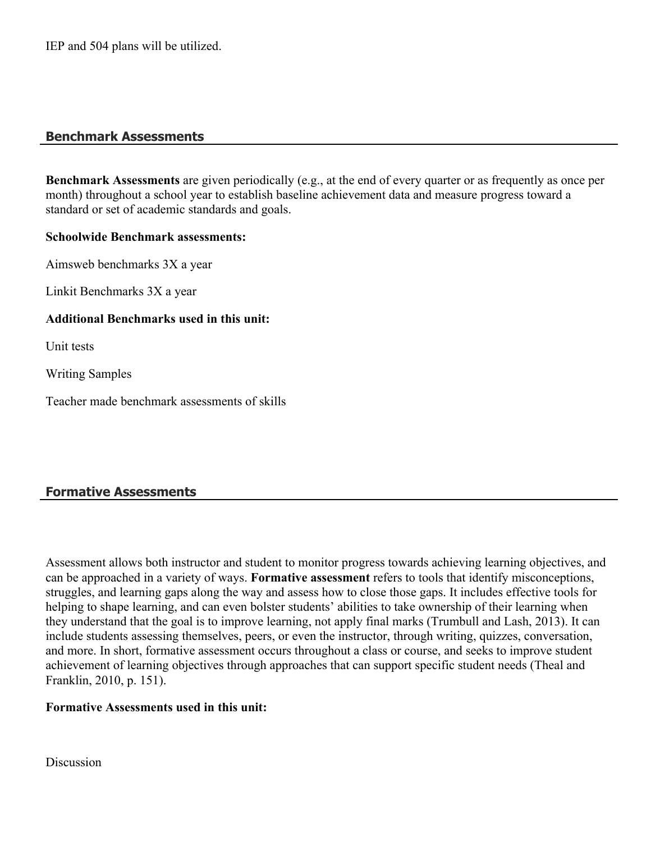## **Benchmark Assessments**

**Benchmark Assessments** are given periodically (e.g., at the end of every quarter or as frequently as once per month) throughout a school year to establish baseline achievement data and measure progress toward a standard or set of academic standards and goals.

### **Schoolwide Benchmark assessments:**

Aimsweb benchmarks 3X a year

Linkit Benchmarks 3X a year

### **Additional Benchmarks used in this unit:**

Unit tests

Writing Samples

Teacher made benchmark assessments of skills

# **Formative Assessments**

Assessment allows both instructor and student to monitor progress towards achieving learning objectives, and can be approached in a variety of ways. **Formative assessment** refers to tools that identify misconceptions, struggles, and learning gaps along the way and assess how to close those gaps. It includes effective tools for helping to shape learning, and can even bolster students' abilities to take ownership of their learning when they understand that the goal is to improve learning, not apply final marks (Trumbull and Lash, 2013). It can include students assessing themselves, peers, or even the instructor, through writing, quizzes, conversation, and more. In short, formative assessment occurs throughout a class or course, and seeks to improve student achievement of learning objectives through approaches that can support specific student needs (Theal and Franklin, 2010, p. 151).

#### **Formative Assessments used in this unit:**

**Discussion**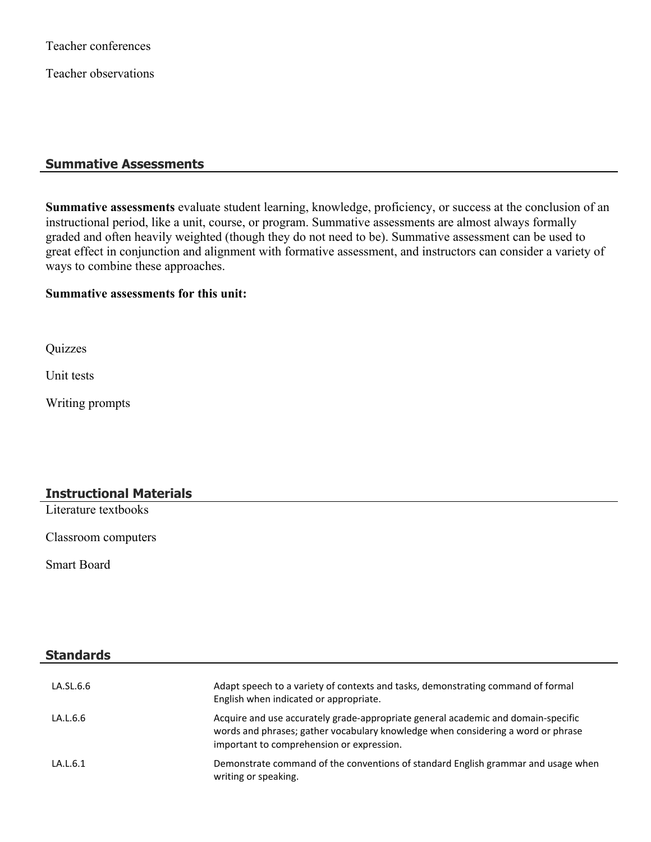Teacher conferences

Teacher observations

#### **Summative Assessments**

**Summative assessments** evaluate student learning, knowledge, proficiency, or success at the conclusion of an instructional period, like a unit, course, or program. Summative assessments are almost always formally graded and often heavily weighted (though they do not need to be). Summative assessment can be used to great effect in conjunction and alignment with formative assessment, and instructors can consider a variety of ways to combine these approaches.

## **Summative assessments for this unit:**

**Quizzes** 

Unit tests

Writing prompts

## **Instructional Materials**

Literature textbooks

Classroom computers

Smart Board

**Standards**

| Stanuarus |                                                                                                                                                                                                                    |
|-----------|--------------------------------------------------------------------------------------------------------------------------------------------------------------------------------------------------------------------|
|           |                                                                                                                                                                                                                    |
| LA.SL.6.6 | Adapt speech to a variety of contexts and tasks, demonstrating command of formal<br>English when indicated or appropriate.                                                                                         |
| LA.L.6.6  | Acquire and use accurately grade-appropriate general academic and domain-specific<br>words and phrases; gather vocabulary knowledge when considering a word or phrase<br>important to comprehension or expression. |
| LA.L.6.1  | Demonstrate command of the conventions of standard English grammar and usage when<br>writing or speaking.                                                                                                          |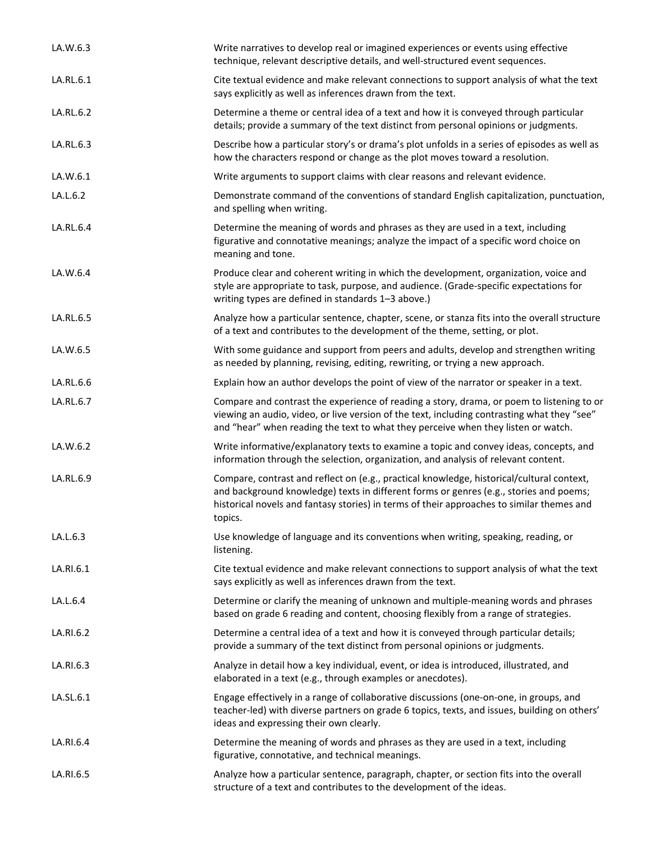| LA.W.6.3  | Write narratives to develop real or imagined experiences or events using effective<br>technique, relevant descriptive details, and well-structured event sequences.                                                                                                                         |
|-----------|---------------------------------------------------------------------------------------------------------------------------------------------------------------------------------------------------------------------------------------------------------------------------------------------|
| LA.RL.6.1 | Cite textual evidence and make relevant connections to support analysis of what the text<br>says explicitly as well as inferences drawn from the text.                                                                                                                                      |
| LA.RL.6.2 | Determine a theme or central idea of a text and how it is conveyed through particular<br>details; provide a summary of the text distinct from personal opinions or judgments.                                                                                                               |
| LA.RL.6.3 | Describe how a particular story's or drama's plot unfolds in a series of episodes as well as<br>how the characters respond or change as the plot moves toward a resolution.                                                                                                                 |
| LA.W.6.1  | Write arguments to support claims with clear reasons and relevant evidence.                                                                                                                                                                                                                 |
| LA.L.6.2  | Demonstrate command of the conventions of standard English capitalization, punctuation,<br>and spelling when writing.                                                                                                                                                                       |
| LA.RL.6.4 | Determine the meaning of words and phrases as they are used in a text, including<br>figurative and connotative meanings; analyze the impact of a specific word choice on<br>meaning and tone.                                                                                               |
| LA.W.6.4  | Produce clear and coherent writing in which the development, organization, voice and<br>style are appropriate to task, purpose, and audience. (Grade-specific expectations for<br>writing types are defined in standards 1-3 above.)                                                        |
| LA.RL.6.5 | Analyze how a particular sentence, chapter, scene, or stanza fits into the overall structure<br>of a text and contributes to the development of the theme, setting, or plot.                                                                                                                |
| LA.W.6.5  | With some guidance and support from peers and adults, develop and strengthen writing<br>as needed by planning, revising, editing, rewriting, or trying a new approach.                                                                                                                      |
| LA.RL.6.6 | Explain how an author develops the point of view of the narrator or speaker in a text.                                                                                                                                                                                                      |
| LA.RL.6.7 | Compare and contrast the experience of reading a story, drama, or poem to listening to or<br>viewing an audio, video, or live version of the text, including contrasting what they "see"<br>and "hear" when reading the text to what they perceive when they listen or watch.               |
| LA.W.6.2  | Write informative/explanatory texts to examine a topic and convey ideas, concepts, and<br>information through the selection, organization, and analysis of relevant content.                                                                                                                |
| LA.RL.6.9 | Compare, contrast and reflect on (e.g., practical knowledge, historical/cultural context,<br>and background knowledge) texts in different forms or genres (e.g., stories and poems;<br>historical novels and fantasy stories) in terms of their approaches to similar themes and<br>topics. |
| LA.L.6.3  | Use knowledge of language and its conventions when writing, speaking, reading, or<br>listening.                                                                                                                                                                                             |
| LA.RI.6.1 | Cite textual evidence and make relevant connections to support analysis of what the text<br>says explicitly as well as inferences drawn from the text.                                                                                                                                      |
| LA.L.6.4  | Determine or clarify the meaning of unknown and multiple-meaning words and phrases<br>based on grade 6 reading and content, choosing flexibly from a range of strategies.                                                                                                                   |
| LA.RI.6.2 | Determine a central idea of a text and how it is conveyed through particular details;<br>provide a summary of the text distinct from personal opinions or judgments.                                                                                                                        |
| LA.RI.6.3 | Analyze in detail how a key individual, event, or idea is introduced, illustrated, and<br>elaborated in a text (e.g., through examples or anecdotes).                                                                                                                                       |
| LA.SL.6.1 | Engage effectively in a range of collaborative discussions (one-on-one, in groups, and<br>teacher-led) with diverse partners on grade 6 topics, texts, and issues, building on others'<br>ideas and expressing their own clearly.                                                           |
| LA.RI.6.4 | Determine the meaning of words and phrases as they are used in a text, including<br>figurative, connotative, and technical meanings.                                                                                                                                                        |
| LA.RI.6.5 | Analyze how a particular sentence, paragraph, chapter, or section fits into the overall<br>structure of a text and contributes to the development of the ideas.                                                                                                                             |